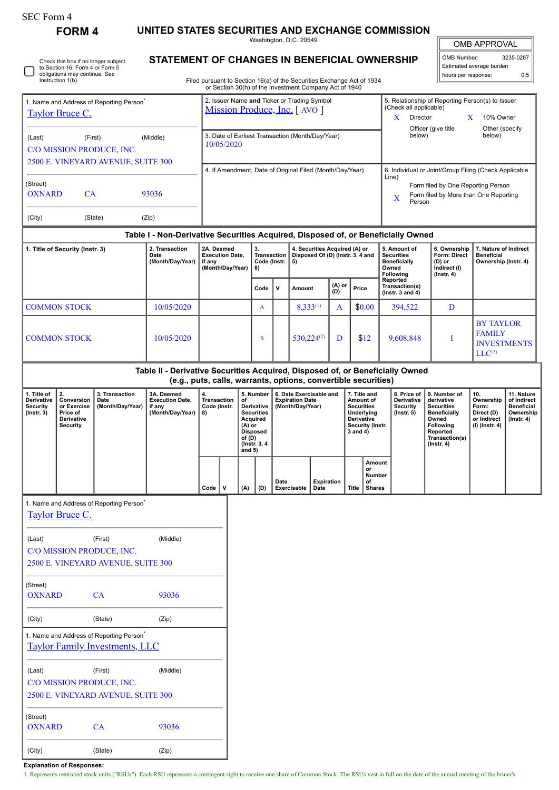| SEC Form 4 |
|------------|
|------------|

**FORM 4 UNITED STATES SECURITIES AND EXCHANGE COMMISSION**

Washington, D.C. 20549 **STATEMENT OF CHANGES IN BENEFICIAL OWNERSHIP**

| OMB APPROVAL |           |  |  |  |  |  |  |  |  |
|--------------|-----------|--|--|--|--|--|--|--|--|
| OMB Number:  | 3235-0287 |  |  |  |  |  |  |  |  |

| Filed pursuant to Section 16(a) of the Securities Exchange Act of 1934 |  |
|------------------------------------------------------------------------|--|
| or Section 30(b) of the Investment Company Act of 1940                 |  |
|                                                                        |  |

| Check this box if no longer subject<br>STATEMENT OF CHANGES IN BENEFICIAL OWNERSHIP<br>to Section 16. Form 4 or Form 5<br>obligations may continue. See<br>Instruction 1(b).<br>Filed pursuant to Section 16(a) of the Securities Exchange Act of 1934<br>or Section 30(h) of the Investment Company Act of 1940 |                                                                              |                                                                            |                                                                                                                                                 |                                                                    |                                                                             |                                                                                                                                      |                                           |                                                                       |                                                                         |                    |                                                    |                                                                                                            | Estimated average burden<br>hours per response:       |                                                                                                                                                              |                                                                                                                                                |                                                                          |                                                                           |  |  |
|------------------------------------------------------------------------------------------------------------------------------------------------------------------------------------------------------------------------------------------------------------------------------------------------------------------|------------------------------------------------------------------------------|----------------------------------------------------------------------------|-------------------------------------------------------------------------------------------------------------------------------------------------|--------------------------------------------------------------------|-----------------------------------------------------------------------------|--------------------------------------------------------------------------------------------------------------------------------------|-------------------------------------------|-----------------------------------------------------------------------|-------------------------------------------------------------------------|--------------------|----------------------------------------------------|------------------------------------------------------------------------------------------------------------|-------------------------------------------------------|--------------------------------------------------------------------------------------------------------------------------------------------------------------|------------------------------------------------------------------------------------------------------------------------------------------------|--------------------------------------------------------------------------|---------------------------------------------------------------------------|--|--|
| 1. Name and Address of Reporting Person <sup>*</sup><br><b>Taylor Bruce C.</b>                                                                                                                                                                                                                                   |                                                                              |                                                                            |                                                                                                                                                 |                                                                    | 2. Issuer Name and Ticker or Trading Symbol<br>Mission Produce, Inc. [AVO ] |                                                                                                                                      |                                           |                                                                       |                                                                         |                    |                                                    |                                                                                                            |                                                       | 5. Relationship of Reporting Person(s) to Issuer<br>(Check all applicable)<br>X<br>Director<br>X<br>10% Owner                                                |                                                                                                                                                |                                                                          |                                                                           |  |  |
| (First)<br>(Middle)<br>(Last)<br>C/O MISSION PRODUCE, INC.<br>2500 E. VINEYARD AVENUE, SUITE 300                                                                                                                                                                                                                 |                                                                              |                                                                            |                                                                                                                                                 |                                                                    | 3. Date of Earliest Transaction (Month/Day/Year)<br>10/05/2020              |                                                                                                                                      |                                           |                                                                       |                                                                         |                    |                                                    |                                                                                                            |                                                       |                                                                                                                                                              | Officer (give title<br>Other (specify<br>below)<br>below)                                                                                      |                                                                          |                                                                           |  |  |
| (Street)<br>CA<br>93036<br><b>OXNARD</b>                                                                                                                                                                                                                                                                         |                                                                              |                                                                            |                                                                                                                                                 |                                                                    | 4. If Amendment, Date of Original Filed (Month/Day/Year)                    |                                                                                                                                      |                                           |                                                                       |                                                                         |                    |                                                    |                                                                                                            |                                                       | 6. Individual or Joint/Group Filing (Check Applicable<br>Line)<br>Form filed by One Reporting Person<br>Form filed by More than One Reporting<br>X<br>Person |                                                                                                                                                |                                                                          |                                                                           |  |  |
| (City)                                                                                                                                                                                                                                                                                                           |                                                                              | (State)                                                                    | (Zip)<br>Table I - Non-Derivative Securities Acquired, Disposed of, or Beneficially Owned                                                       |                                                                    |                                                                             |                                                                                                                                      |                                           |                                                                       |                                                                         |                    |                                                    |                                                                                                            |                                                       |                                                                                                                                                              |                                                                                                                                                |                                                                          |                                                                           |  |  |
| 1. Title of Security (Instr. 3)                                                                                                                                                                                                                                                                                  |                                                                              |                                                                            | 2. Transaction<br>Date<br>(Month/Day/Year)                                                                                                      | 2A. Deemed<br><b>Execution Date,</b><br>if any<br>(Month/Day/Year) |                                                                             |                                                                                                                                      | 3.<br>Transaction  <br>Code (Instr.<br>8) |                                                                       | 4. Securities Acquired (A) or<br>Disposed Of (D) (Instr. 3, 4 and<br>5) |                    |                                                    |                                                                                                            |                                                       | 5. Amount of<br><b>Securities</b><br><b>Beneficially</b><br>Owned<br>Following                                                                               | 6. Ownership<br><b>Form: Direct</b><br>(D) or<br>Indirect (I)<br>$($ lnstr. 4 $)$                                                              | <b>Beneficial</b>                                                        | 7. Nature of Indirect<br>Ownership (Instr. 4)                             |  |  |
|                                                                                                                                                                                                                                                                                                                  |                                                                              |                                                                            |                                                                                                                                                 |                                                                    |                                                                             |                                                                                                                                      | Code                                      | v                                                                     | (A) or<br>Amount<br>Price<br>(D)                                        |                    | Reported<br>Transaction(s)<br>( $lnstr. 3 and 4$ ) |                                                                                                            |                                                       |                                                                                                                                                              |                                                                                                                                                |                                                                          |                                                                           |  |  |
|                                                                                                                                                                                                                                                                                                                  | <b>COMMON STOCK</b>                                                          |                                                                            | 10/05/2020                                                                                                                                      |                                                                    |                                                                             |                                                                                                                                      | A                                         |                                                                       | $8,333^{(1)}$                                                           |                    | A                                                  | \$0.00                                                                                                     |                                                       | 394,522                                                                                                                                                      | D                                                                                                                                              |                                                                          |                                                                           |  |  |
| <b>COMMON STOCK</b>                                                                                                                                                                                                                                                                                              |                                                                              |                                                                            | 10/05/2020                                                                                                                                      |                                                                    |                                                                             |                                                                                                                                      | S                                         |                                                                       | $530,224^{(2)}$                                                         |                    | D                                                  | \$12                                                                                                       |                                                       | 9,608,848                                                                                                                                                    | I                                                                                                                                              | <b>BY TAYLOR</b><br><b>FAMILY</b><br><b>INVESTMENTS</b><br>$LLC^{(3)}$   |                                                                           |  |  |
|                                                                                                                                                                                                                                                                                                                  |                                                                              |                                                                            | Table II - Derivative Securities Acquired, Disposed of, or Beneficially Owned<br>(e.g., puts, calls, warrants, options, convertible securities) |                                                                    |                                                                             |                                                                                                                                      |                                           |                                                                       |                                                                         |                    |                                                    |                                                                                                            |                                                       |                                                                                                                                                              |                                                                                                                                                |                                                                          |                                                                           |  |  |
| 1. Title of<br>Derivative<br>Security<br>$($ Instr. 3 $)$                                                                                                                                                                                                                                                        | 2.<br>Conversion<br>or Exercise<br>Price of<br>Derivative<br><b>Security</b> | 3. Transaction<br>Date<br>(Month/Day/Year)                                 | 3A. Deemed<br><b>Execution Date,</b><br>if any<br>(Month/Day/Year)                                                                              | 4.<br>Transaction<br>Code (Instr.<br>8)                            |                                                                             | 5. Number<br>of<br>Derivative<br><b>Securities</b><br>Acquired<br>$(A)$ or<br><b>Disposed</b><br>of (D)<br>(Instr. 3, 4)<br>and $5)$ |                                           | 6. Date Exercisable and<br><b>Expiration Date</b><br>(Month/Day/Year) |                                                                         |                    |                                                    | 7. Title and<br>Amount of<br><b>Securities</b><br>Underlying<br>Derivative<br>Security (Instr.<br>3 and 4) |                                                       | 8. Price of<br>Derivative<br>Security<br>$($ Instr. $5)$                                                                                                     | 9. Number of<br>derivative<br><b>Securities</b><br><b>Beneficially</b><br>Owned<br>Following<br>Reported<br>Transaction(s)<br>$($ Instr. 4 $)$ | 10.<br>Ownership<br>Form:<br>Direct (D)<br>or Indirect<br>(I) (Instr. 4) | 11. Nature<br>of Indirect<br><b>Beneficial</b><br>Ownership<br>(Instr. 4) |  |  |
|                                                                                                                                                                                                                                                                                                                  |                                                                              |                                                                            |                                                                                                                                                 | Code $ V $                                                         |                                                                             | (A)                                                                                                                                  | (D)                                       | Date                                                                  | Exercisable                                                             | Expiration<br>Date |                                                    |                                                                                                            | Amount<br>or<br><b>Number</b><br>от<br>Title   Shares |                                                                                                                                                              |                                                                                                                                                |                                                                          |                                                                           |  |  |
|                                                                                                                                                                                                                                                                                                                  | <b>Taylor Bruce C.</b>                                                       | 1. Name and Address of Reporting Person <sup>7</sup>                       |                                                                                                                                                 |                                                                    |                                                                             |                                                                                                                                      |                                           |                                                                       |                                                                         |                    |                                                    |                                                                                                            |                                                       |                                                                                                                                                              |                                                                                                                                                |                                                                          |                                                                           |  |  |
| (Last)                                                                                                                                                                                                                                                                                                           |                                                                              | (First)<br>C/O MISSION PRODUCE, INC.<br>2500 E. VINEYARD AVENUE, SUITE 300 | (Middle)                                                                                                                                        |                                                                    |                                                                             |                                                                                                                                      |                                           |                                                                       |                                                                         |                    |                                                    |                                                                                                            |                                                       |                                                                                                                                                              |                                                                                                                                                |                                                                          |                                                                           |  |  |

(Street) OXNARD CA 93036

(City) (State) (Zip)

1. Name and Address of Reporting Person\* [Taylor Family Investments, LLC](http://www.sec.gov/cgi-bin/browse-edgar?action=getcompany&CIK=0001459349)

(Last) (First) (Middle) C/O MISSION PRODUCE, INC. 2500 E. VINEYARD AVENUE, SUITE 300 (Street) OXNARD CA 93036 (City) (State) (Zip)

**Explanation of Responses:**

1. Represents restricted stock units ("RSUs"). Each RSU represents a contingent right to receive one share of Common Stock. The RSUs vest in full on the date of the annual meeting of the Issuer's